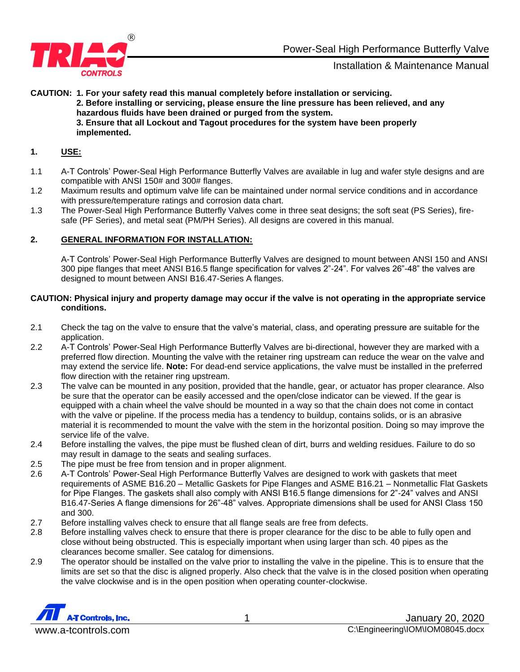

**CAUTION: 1. For your safety read this manual completely before installation or servicing. 2. Before installing or servicing, please ensure the line pressure has been relieved, and any hazardous fluids have been drained or purged from the system. 3. Ensure that all Lockout and Tagout procedures for the system have been properly implemented.**

### **1. USE:**

- 1.1 A-T Controls' Power-Seal High Performance Butterfly Valves are available in lug and wafer style designs and are compatible with ANSI 150# and 300# flanges.
- 1.2 Maximum results and optimum valve life can be maintained under normal service conditions and in accordance with pressure/temperature ratings and corrosion data chart.
- 1.3 The Power-Seal High Performance Butterfly Valves come in three seat designs; the soft seat (PS Series), firesafe (PF Series), and metal seat (PM/PH Series). All designs are covered in this manual.

### **2. GENERAL INFORMATION FOR INSTALLATION:**

A-T Controls' Power-Seal High Performance Butterfly Valves are designed to mount between ANSI 150 and ANSI 300 pipe flanges that meet ANSI B16.5 flange specification for valves 2"-24". For valves 26"-48" the valves are designed to mount between ANSI B16.47-Series A flanges.

### **CAUTION: Physical injury and property damage may occur if the valve is not operating in the appropriate service conditions.**

- 2.1 Check the tag on the valve to ensure that the valve's material, class, and operating pressure are suitable for the application.
- 2.2 A-T Controls' Power-Seal High Performance Butterfly Valves are bi-directional, however they are marked with a preferred flow direction. Mounting the valve with the retainer ring upstream can reduce the wear on the valve and may extend the service life. **Note:** For dead-end service applications, the valve must be installed in the preferred flow direction with the retainer ring upstream.
- 2.3 The valve can be mounted in any position, provided that the handle, gear, or actuator has proper clearance. Also be sure that the operator can be easily accessed and the open/close indicator can be viewed. If the gear is equipped with a chain wheel the valve should be mounted in a way so that the chain does not come in contact with the valve or pipeline. If the process media has a tendency to buildup, contains solids, or is an abrasive material it is recommended to mount the valve with the stem in the horizontal position. Doing so may improve the service life of the valve.
- 2.4 Before installing the valves, the pipe must be flushed clean of dirt, burrs and welding residues. Failure to do so may result in damage to the seats and sealing surfaces.
- 2.5 The pipe must be free from tension and in proper alignment.
- 2.6 A-T Controls' Power-Seal High Performance Butterfly Valves are designed to work with gaskets that meet requirements of ASME B16.20 – Metallic Gaskets for Pipe Flanges and ASME B16.21 – Nonmetallic Flat Gaskets for Pipe Flanges. The gaskets shall also comply with ANSI B16.5 flange dimensions for 2"-24" valves and ANSI B16.47-Series A flange dimensions for 26"-48" valves. Appropriate dimensions shall be used for ANSI Class 150 and 300.
- 2.7 Before installing valves check to ensure that all flange seals are free from defects.
- 2.8 Before installing valves check to ensure that there is proper clearance for the disc to be able to fully open and close without being obstructed. This is especially important when using larger than sch. 40 pipes as the clearances become smaller. See catalog for dimensions.
- 2.9 The operator should be installed on the valve prior to installing the valve in the pipeline. This is to ensure that the limits are set so that the disc is aligned properly. Also check that the valve is in the closed position when operating the valve clockwise and is in the open position when operating counter-clockwise.

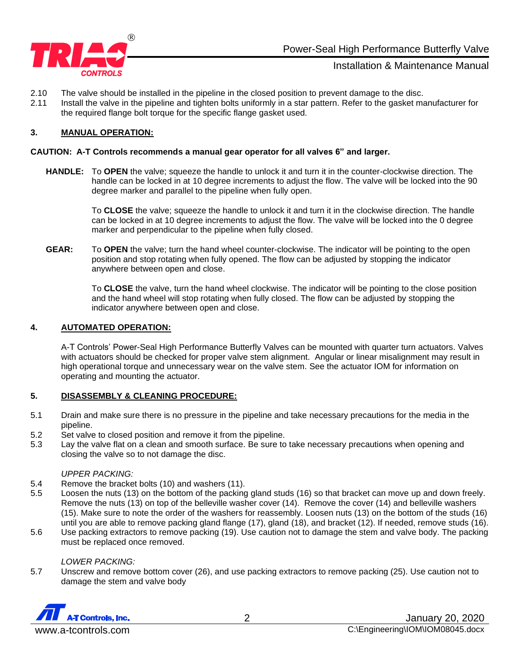

- 2.10 The valve should be installed in the pipeline in the closed position to prevent damage to the disc.
- 2.11 Install the valve in the pipeline and tighten bolts uniformly in a star pattern. Refer to the gasket manufacturer for the required flange bolt torque for the specific flange gasket used.

# **3. MANUAL OPERATION:**

#### **CAUTION: A-T Controls recommends a manual gear operator for all valves 6" and larger.**

**HANDLE:** To **OPEN** the valve; squeeze the handle to unlock it and turn it in the counter-clockwise direction. The handle can be locked in at 10 degree increments to adjust the flow. The valve will be locked into the 90 degree marker and parallel to the pipeline when fully open.

> To **CLOSE** the valve; squeeze the handle to unlock it and turn it in the clockwise direction. The handle can be locked in at 10 degree increments to adjust the flow. The valve will be locked into the 0 degree marker and perpendicular to the pipeline when fully closed.

**GEAR:** To **OPEN** the valve; turn the hand wheel counter-clockwise. The indicator will be pointing to the open position and stop rotating when fully opened. The flow can be adjusted by stopping the indicator anywhere between open and close.

> To **CLOSE** the valve, turn the hand wheel clockwise. The indicator will be pointing to the close position and the hand wheel will stop rotating when fully closed. The flow can be adjusted by stopping the indicator anywhere between open and close.

### **4. AUTOMATED OPERATION:**

A-T Controls' Power-Seal High Performance Butterfly Valves can be mounted with quarter turn actuators. Valves with actuators should be checked for proper valve stem alignment. Angular or linear misalignment may result in high operational torque and unnecessary wear on the valve stem. See the actuator IOM for information on operating and mounting the actuator.

## **5. DISASSEMBLY & CLEANING PROCEDURE:**

- 5.1 Drain and make sure there is no pressure in the pipeline and take necessary precautions for the media in the pipeline.
- 5.2 Set valve to closed position and remove it from the pipeline.
- 5.3 Lay the valve flat on a clean and smooth surface. Be sure to take necessary precautions when opening and closing the valve so to not damage the disc.

#### *UPPER PACKING:*

- 5.4 Remove the bracket bolts (10) and washers (11).
- 5.5 Loosen the nuts (13) on the bottom of the packing gland studs (16) so that bracket can move up and down freely. Remove the nuts (13) on top of the belleville washer cover (14). Remove the cover (14) and belleville washers (15). Make sure to note the order of the washers for reassembly. Loosen nuts (13) on the bottom of the studs (16) until you are able to remove packing gland flange (17), gland (18), and bracket (12). If needed, remove studs (16).
- 5.6 Use packing extractors to remove packing (19). Use caution not to damage the stem and valve body. The packing must be replaced once removed.

#### *LOWER PACKING:*

5.7 Unscrew and remove bottom cover (26), and use packing extractors to remove packing (25). Use caution not to damage the stem and valve body

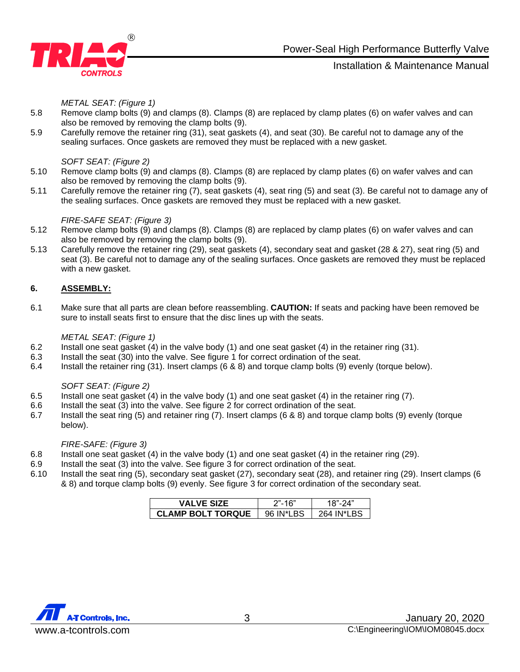

*METAL SEAT: (Figure 1)*

- 5.8 Remove clamp bolts (9) and clamps (8). Clamps (8) are replaced by clamp plates (6) on wafer valves and can also be removed by removing the clamp bolts (9).
- 5.9 Carefully remove the retainer ring (31), seat gaskets (4), and seat (30). Be careful not to damage any of the sealing surfaces. Once gaskets are removed they must be replaced with a new gasket.

#### *SOFT SEAT: (Figure 2)*

- 5.10 Remove clamp bolts (9) and clamps (8). Clamps (8) are replaced by clamp plates (6) on wafer valves and can also be removed by removing the clamp bolts (9).
- 5.11 Carefully remove the retainer ring (7), seat gaskets (4), seat ring (5) and seat (3). Be careful not to damage any of the sealing surfaces. Once gaskets are removed they must be replaced with a new gasket.

### *FIRE-SAFE SEAT: (Figure 3)*

- 5.12 Remove clamp bolts (9) and clamps (8). Clamps (8) are replaced by clamp plates (6) on wafer valves and can also be removed by removing the clamp bolts (9).
- 5.13 Carefully remove the retainer ring (29), seat gaskets (4), secondary seat and gasket (28 & 27), seat ring (5) and seat (3). Be careful not to damage any of the sealing surfaces. Once gaskets are removed they must be replaced with a new gasket.

## **6. ASSEMBLY:**

6.1 Make sure that all parts are clean before reassembling. **CAUTION:** If seats and packing have been removed be sure to install seats first to ensure that the disc lines up with the seats.

#### *METAL SEAT: (Figure 1)*

- 6.2 Install one seat gasket (4) in the valve body (1) and one seat gasket (4) in the retainer ring (31).
- 6.3 Install the seat (30) into the valve. See figure 1 for correct ordination of the seat.
- 6.4 Install the retainer ring (31). Insert clamps (6 & 8) and torque clamp bolts (9) evenly (torque below).

#### *SOFT SEAT: (Figure 2)*

- 6.5 Install one seat gasket (4) in the valve body (1) and one seat gasket (4) in the retainer ring (7).
- 6.6 Install the seat (3) into the valve. See figure 2 for correct ordination of the seat.
- 6.7 Install the seat ring (5) and retainer ring (7). Insert clamps (6 & 8) and torque clamp bolts (9) evenly (torque below).

## *FIRE-SAFE: (Figure 3)*

- 6.8 Install one seat gasket (4) in the valve body (1) and one seat gasket (4) in the retainer ring (29).
- 6.9 Install the seat (3) into the valve. See figure 3 for correct ordination of the seat.
- 6.10 Install the seat ring (5), secondary seat gasket (27), secondary seat (28), and retainer ring (29). Insert clamps (6 & 8) and torque clamp bolts (9) evenly. See figure 3 for correct ordination of the secondary seat.

| <b>VALVE SIZE</b>        | 2"-16"  |          |  |  |  |  |
|--------------------------|---------|----------|--|--|--|--|
| <b>CLAMP BOLT TORQUE</b> | 96 IN*L | 264 IN*I |  |  |  |  |

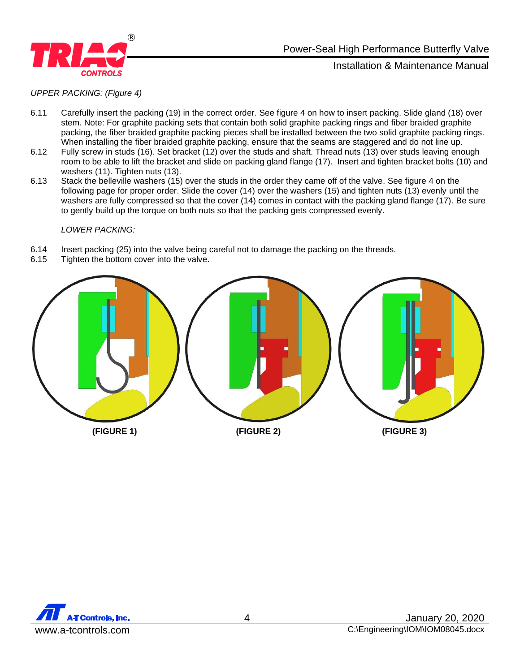

# Power-Seal High Performance Butterfly Valve

Installation & Maintenance Manual

*UPPER PACKING: (Figure 4)*

- 6.11 Carefully insert the packing (19) in the correct order. See figure 4 on how to insert packing. Slide gland (18) over stem. Note: For graphite packing sets that contain both solid graphite packing rings and fiber braided graphite packing, the fiber braided graphite packing pieces shall be installed between the two solid graphite packing rings. When installing the fiber braided graphite packing, ensure that the seams are staggered and do not line up.
- 6.12 Fully screw in studs (16). Set bracket (12) over the studs and shaft. Thread nuts (13) over studs leaving enough room to be able to lift the bracket and slide on packing gland flange (17). Insert and tighten bracket bolts (10) and washers (11). Tighten nuts (13).
- 6.13 Stack the belleville washers (15) over the studs in the order they came off of the valve. See figure 4 on the following page for proper order. Slide the cover (14) over the washers (15) and tighten nuts (13) evenly until the washers are fully compressed so that the cover (14) comes in contact with the packing gland flange (17). Be sure to gently build up the torque on both nuts so that the packing gets compressed evenly.

#### *LOWER PACKING:*

- 6.14 Insert packing (25) into the valve being careful not to damage the packing on the threads.
- 6.15 Tighten the bottom cover into the valve.



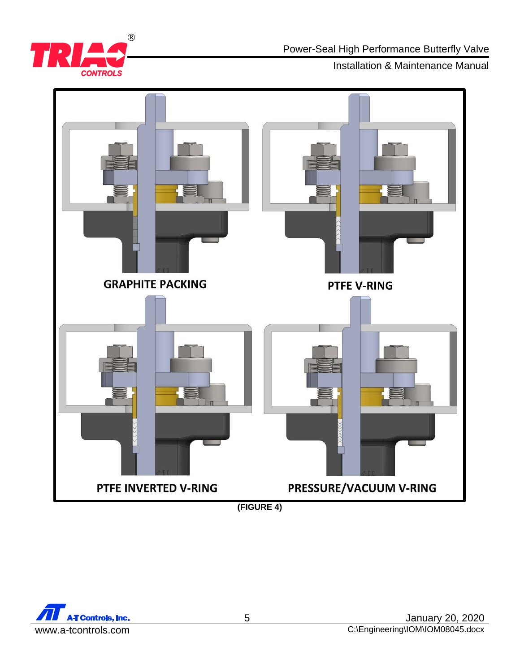

Power-Seal High Performance Butterfly Valve

Installation & Maintenance Manual



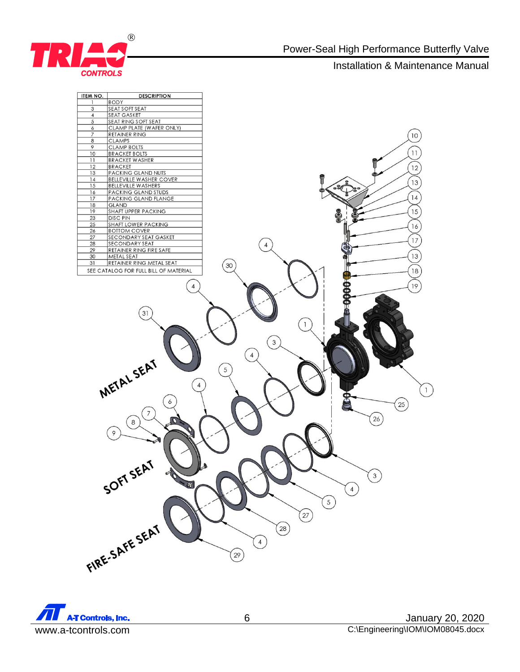



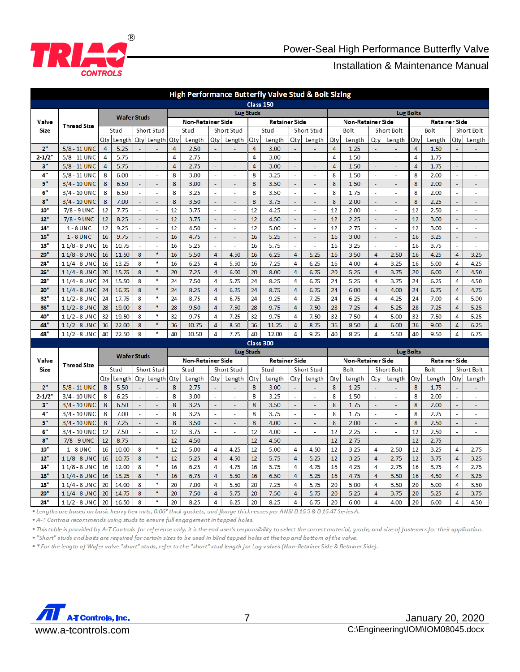

| High Performance Butterfly Valve Stud & Bolt Sizing |                              |                    |                    |                          |                          |                   |                |                          |                          |                      |                |                          |                          |                     |                |                                          |                          |                     |                  |                          |                          |  |
|-----------------------------------------------------|------------------------------|--------------------|--------------------|--------------------------|--------------------------|-------------------|----------------|--------------------------|--------------------------|----------------------|----------------|--------------------------|--------------------------|---------------------|----------------|------------------------------------------|--------------------------|---------------------|------------------|--------------------------|--------------------------|--|
|                                                     |                              | Class 150          |                    |                          |                          |                   |                |                          |                          |                      |                |                          |                          |                     |                |                                          |                          |                     |                  |                          |                          |  |
| Valve<br>Size                                       | <b>Thread Size</b>           | <b>Wafer Studs</b> |                    |                          | <b>Lug Studs</b>         |                   |                |                          |                          |                      |                | <b>Lug Bolts</b>         |                          |                     |                |                                          |                          |                     |                  |                          |                          |  |
|                                                     |                              |                    |                    |                          |                          | Non-Retainer Side |                |                          | <b>Retainer Side</b>     |                      |                | Non-Retainer Side        |                          |                     |                | Retainer Side                            |                          |                     |                  |                          |                          |  |
|                                                     |                              |                    | Short Stud<br>Stud |                          |                          | Stud              |                |                          | Short Stud               |                      | Stud           |                          | Short Stud               |                     | Bolt           |                                          | Short Bolt               |                     | Bolt             |                          | Short Bolt               |  |
|                                                     |                              | Qty                | Length             | Qty                      | Length                   | Qty               | Length         | Qty                      | Length                   | Qty                  | Length         | Qty                      | Length                   | Qty                 | Length         | Qty                                      | Length                   | Qty                 | Length           | Qty                      | Length                   |  |
| 2 <sup>0</sup>                                      | 5/8 - 11 UNC                 | $\overline{4}$     | 5.25               |                          |                          | $\overline{4}$    | 2.50           | $\omega$                 | $\overline{a}$           | $\overline{4}$       | 3.00           | ÷                        |                          | $\overline{4}$      | 1.25           | $\mathbf{v}$                             |                          | $\overline{4}$      | 1.50             | L,                       |                          |  |
| $2 - 1/2"$                                          | 5/8 - 11 UNC                 | 4                  | 5.75               | $\overline{\phantom{a}}$ | $\overline{a}$           | 4                 | 2.75           | $\overline{\phantom{a}}$ | $\blacksquare$           | 4                    | 3.00           | $\overline{\phantom{a}}$ | $\blacksquare$           | 4                   | 1.50           | $\overline{\phantom{a}}$                 | $\blacksquare$           | 4                   | 1.75             | $\overline{a}$           | $\overline{a}$           |  |
| 3"<br>4"                                            | 5/8 - 11 UNC                 | 4<br>8             | 5.75               | $\sim$                   | ÷                        | 4<br>8            | 2.75           | ÷<br>L,                  |                          | 4<br>8               | 3.00           | ÷                        | ÷                        | $\overline{4}$<br>8 | 1.50           | $\omega$<br>$\overline{\phantom{a}}$     | L                        | $\overline{4}$<br>8 | 1.75             | ÷                        |                          |  |
| 5"                                                  | 5/8 - 11 UNC<br>3/4 - 10 UNC | 8                  | 6.00<br>6.50       | $\mathcal{L}$<br>÷.      | $\sim$<br>÷              | 8                 | 3.00<br>3.00   | ÷.                       | ÷,<br>÷                  | 8                    | 3.25<br>3.50   | ä,<br>÷.                 | ÷,<br>÷                  | 8                   | 1.50<br>1.50   | ÷.                                       | ÷,<br>ä,                 | 8                   | 2.00<br>2.00     | L.<br>÷.                 | ÷,<br>ä,                 |  |
| 6"                                                  | 3/4 - 10 UNC                 | 8                  | 6.50               | $\sim$                   | ٠                        | 8                 | 3.25           | ÷.                       | ÷                        | 8                    | 3.50           | ÷.                       | ٠                        | 8                   | 1.75           | ÷,                                       | ٠                        | 8                   | 2.00             | ÷.                       | ä,                       |  |
| 8"                                                  | 3/4 - 10 UNC                 | 8                  | 7.00               | L.                       |                          | 8                 | 3.50           | L,                       |                          | 8                    | 3.75           | L.                       |                          | 8                   | 2.00           | ä,                                       |                          | 8                   | 2.25             |                          |                          |  |
| 10"                                                 | 7/8 - 9 UNC                  | 12                 | 7.75               | ÷,                       | ÷,                       | 12                | 3.75           |                          | ٠                        | 12                   | 4.25           |                          | $\overline{\phantom{a}}$ | 12                  | 2.00           | $\overline{\phantom{a}}$                 | ÷,                       | 12                  | 2.50             | ÷,                       | ٠                        |  |
| 12"                                                 | 7/8 - 9 UNC                  | 12                 | 8.25               | ÷                        | $\overline{\phantom{a}}$ | 12                | 3.75           | ÷.                       | $\overline{\phantom{a}}$ | 12                   | 4.50           | ÷                        | $\sim$                   | 12                  | 2.25           | ÷.                                       | $\overline{\phantom{a}}$ | 12                  | 3.00             | $\sim$                   | ÷,                       |  |
| 14"                                                 | $1 - 8$ UNC                  | 12                 | 9.25               | $\overline{\phantom{a}}$ | $\overline{a}$           | 12                | 4.50           | $\overline{\phantom{a}}$ | $\overline{a}$           | 12                   | 5.00           | $\overline{a}$           | $\overline{a}$           | 12                  | 2.75           | $\mathbf{r}$                             | $\overline{a}$           | 12                  | 3.00             | $\overline{a}$           | $\overline{a}$           |  |
| 16"                                                 | $1 - 8$ UNC                  | 16                 | 9.75               | L,                       | ä,                       | 16                | 4.75           | L,                       | L.                       | 16                   | 5.25           | L.                       | $\Box$                   | 16                  | 3.00           | ä,                                       | L.                       | 16                  | 3.25             | L.                       | L,                       |  |
| 18"                                                 | $11/8 - 8$ UNC               | 16                 | 10.75              | $\overline{\phantom{a}}$ | $\overline{\phantom{a}}$ | 16                | 5.25           | $\overline{\phantom{a}}$ | $\overline{a}$           | 16                   | 5.75           | $\overline{a}$           | $\overline{\phantom{a}}$ | 16                  | 3.25           | $\sim$                                   | $\overline{a}$           | 16                  | 3.75             | $\overline{a}$           | $\overline{\phantom{a}}$ |  |
| 20"                                                 | $11/8 - 8$ UNC               | 16                 | 11.50              | 8                        | $\frac{1}{2}$            | 16                | 5.50           | $\overline{4}$           | 4.50                     | 16                   | 6.25           | 4                        | 5.25                     | 16                  | 3.50           | $\overline{4}$                           | 2.50                     | 16                  | 4.25             | 4                        | 3.25                     |  |
| 24"                                                 | $11/4 - 8$ UNC               | 16                 | 13.25              | 8                        | ٠                        | 16                | 6.25           | 4                        | 5.50                     | 16                   | 7.25           | 4                        | 6.25                     | 16                  | 4.00           | 4                                        | 3.25                     | 16                  | 5.00             | 4                        | 4.25                     |  |
| 26"                                                 | $11/4 - 8$ UNC               | 20                 | 15.25              | 8                        | $\ddot{\Phi}$            | 20                | 7.25           | $\overline{4}$           | 6.00                     | 20                   | 8.00           | 4                        | 6.75                     | 20                  | 5.25           | $\overline{4}$                           | 3.75                     | 20                  | 6.00             | $\overline{4}$           | 4.50                     |  |
| 28"                                                 | $11/4 - 8$ UNC               | 24                 | 15.50              | 8                        | ۸                        | 24                | 7.50           | 4                        | 5.75                     | 24                   | 8.25           | 4                        | 6.75                     | 24                  | 5.25           | 4                                        | 3.75                     | 24                  | 6.25             | 4                        | 4.50                     |  |
| 30"                                                 | $11/4 - 8$ UNC               | 24                 | 16.75              | 8                        | $\ddot{\textbf{x}}$      | 24                | 8.25           | $\overline{4}$           | 6.25                     | 24                   | 8.75           | 4                        | 6.75                     | 24                  | 6.00           | $\overline{4}$                           | 4.00                     | 24                  | 6.75             | 4                        | 4.75                     |  |
| 32"                                                 | $11/2 - 8$ UNC               | 24                 | 17.75              | 8                        | $\ast$                   | 24                | 8.75           | 4                        | 6.75                     | 24                   | 9.25           | 4                        | 7.25                     | 24                  | 6.25           | 4                                        | 4.25                     | 24                  | 7.00             | 4                        | 5.00                     |  |
| 36"                                                 | $11/2 - 8$ UNC               | 28                 | 19.00              | 8                        | $\ast$                   | 28                | 9.50           | 4                        | 7.50                     | 28                   | 9.75           | 4                        | 7.50                     | 28                  | 7.25           | $\overline{4}$                           | 5.25                     | 28                  | 7.25             | 4                        | 5.25                     |  |
| 40"                                                 | $11/2 - 8$ UNC               | 32                 | 19.50              | 8                        | $\ast$                   | 32                | 9.75           | 4                        | 7.25                     | 32                   | 9.75           | 4                        | 7.50                     | 32                  | 7.50           | 4                                        | 5.00                     | 32                  | 7.50             | 4                        | 5.25                     |  |
| 44"                                                 | $11/2 - 8$ UNC               | 36                 | 22.00              | 8                        | $\ddot{\textbf{x}}$      | 36                | 10.75          | $\overline{4}$           | 8.50                     | 36                   | 11.25          | 4                        | 8.75                     | 36                  | 8.50           | $\overline{4}$                           | 6.00                     | 36                  | 9.00             | 4                        | 6.25                     |  |
| 48"                                                 | $11/2 - 8$ UNC               | 40                 | 22.50              | 8                        | ۸                        | 40                | 10.50          | 4                        | 7.75                     | 40                   | 12.00          | 4                        | 9.25                     | 40                  | 8.25           | 4                                        | 5.50                     | 40                  | 9.50             | 4                        | 6.75                     |  |
|                                                     |                              |                    |                    |                          |                          |                   |                |                          |                          | Class 300            |                |                          |                          |                     |                |                                          |                          |                     |                  |                          |                          |  |
|                                                     | <b>Thread Size</b>           | <b>Wafer Studs</b> |                    |                          |                          | Lug Studs         |                |                          |                          |                      |                |                          |                          |                     |                |                                          |                          |                     | <b>Lug Bolts</b> |                          |                          |  |
| Valve                                               |                              |                    |                    |                          |                          | Non-Retainer Side |                |                          |                          | <b>Retainer Side</b> |                |                          |                          | Non-Retainer Side   |                |                                          |                          |                     | Retainer Side    |                          |                          |  |
| Size                                                |                              |                    | Stud               |                          | Short Stud               |                   | Stud           |                          | Short Stud               |                      | Stud           |                          | Short Stud               |                     | Bolt           |                                          | Short Bolt               |                     | Bolt             |                          | Short Bolt               |  |
| 2"                                                  | 5/8 - 11 UNC                 | Qty<br>8           | Length<br>5.50     | Qty                      | Length                   | Qty<br>8          | Length<br>2.75 | Qty<br>÷                 | Length                   | Qty<br>8             | Length<br>3.00 | Qty<br>÷.                | Length<br>÷.             | Qty<br>8            | Length<br>1.25 | Qty                                      | Length                   | Qty<br>8            | Length           | Qty<br>÷.                | Length                   |  |
| $2 - 1/2"$                                          | 3/4 - 10 UNC                 | 8                  | 6.25               | $\sim$                   | ÷                        | 8                 | 3.00           | $\overline{a}$           | ä,                       | 8                    | 3.25           | $\overline{\phantom{a}}$ |                          | 8                   | 1.50           | $\overline{\phantom{a}}$<br>$\mathbf{r}$ | ä,                       | 8                   | 1.75<br>2.00     | $\overline{\phantom{a}}$ | L.                       |  |
| 3"                                                  | 3/4 - 10 UNC                 | 8                  | 6.50               | u,                       | ÷                        | 8                 | 3.25           | u,                       | ä,                       | 8                    | 3.50           | u,                       | $\omega$                 | 8                   | 1.75           | L,                                       | $\omega$                 | 8                   | 2.00             | ÷.                       | L.                       |  |
| 4"                                                  | 3/4 - 10 UNC                 | 8                  | 7.00               | ÷                        | ÷.                       | 8                 | 3.25           | $\overline{a}$           | ÷                        | 8                    | 3.75           | ÷.                       | ÷.                       | 8                   | 1.75           | ÷                                        | ÷                        | 8                   | 2.25             | ÷                        | ä,                       |  |
| 5"                                                  | 3/4 - 10 UNC                 | 8                  | 7.25               | ä,                       | ÷,                       | 8                 | 3.50           | L,                       | ä,                       | 8                    | 4.00           | L.                       | ä,                       | 8                   | 2.00           | ä,                                       |                          | 8                   | 2.50             | L.                       |                          |  |
| 6"                                                  | 3/4 - 10 UNC                 | 12                 | 7.50               | $\overline{\phantom{a}}$ | ٠                        | 12                | 3.75           | $\sim$                   | ٠                        | 12                   | 4.00           |                          | ٠                        | 12                  | 2.25           | $\overline{\phantom{a}}$                 | L,                       | 12                  | 2.50             | ÷,                       | L,                       |  |
| 8"                                                  | 7/8 - 9 UNC                  | 12                 | 8.75               | $\sim$                   | $\overline{a}$           | 12                | 4.50           | ä,                       | $\sim$                   | 12                   | 4.50           | ÷                        | $\sim$                   | 12                  | 2.75           | $\omega$                                 | $\overline{a}$           | 12                  | 2.75             | ÷                        | ٠                        |  |
| 10"                                                 | $1 - 8$ UNC                  | 16                 | 10.00              | 8                        | ۸                        | 12                | 5.00           | 4                        | 4.25                     | 12                   | 5.00           | 4                        | 4.50                     | 12                  | 3.25           | 4                                        | 2.50                     | 12                  | 3.25             | 4                        | 2.75                     |  |
| 12"                                                 | $11/8 - 8$ UNC               | 16                 | 10.75              | 8                        | $\hat{\mathbf{x}}$       | 12                | 5.25           | $\overline{4}$           | 4.50                     | 12                   | 5.75           | $\overline{4}$           | 5.25                     | 12                  | 3.25           | 4                                        | 2.75                     | 12                  | 3.75             | 4                        | 3.25                     |  |
| 14"                                                 | $11/8 - 8$ UNC               | 16                 | 12.00              | 8                        | $\ast$                   | 16                | 6.25           | 4                        | 4.75                     | 16                   | 5.75           | 4                        | 4.75                     | 16                  | 4.25           | 4                                        | 2.75                     | 16                  | 3.75             | 4                        | 2.75                     |  |
| 16"                                                 | 11/4 - 8 UNC                 | 16                 | 13.25              | 8                        | $\frac{1}{2}$            | 16                | 6.75           | 4                        | 5.50                     | 16                   | 6.50           | 4                        | 5.25                     | 16                  | 4.75           | 4                                        | 3.50                     | 16                  | 4.50             | 4                        | 3.25                     |  |
| 18"                                                 | $11/4 - 8$ UNC               | 20                 | 14.00              | 8                        | $\ast$                   | 20                | 7.00           | 4                        | 5.50                     | 20                   | 7.25           | 4                        | 5.75                     | 20                  | 5.00           | 4                                        | 3.50                     | 20                  | 5.00             | 4                        | 3.50                     |  |
| 20"                                                 | 11/4 - 8 UNC                 | 20                 | 14.75              | 8                        | ×                        | 20                | 7.50           | $\overline{4}$           | 5.75                     | 20                   | 7.50           | 4                        | 5.75                     | 20                  | 5.25           | $\overline{4}$                           | 3.75                     | 20                  | 5.25             | 4                        | 3.75                     |  |
| 24"                                                 | $11/2 - 8$ UNC               | 20                 | 16.50              | 8                        | $\ast$                   | 20                | 8.25           | 4                        | 6.25                     | 20                   | 8.25           | 4                        | 6.75                     | 20                  | 6.00           | $\overline{4}$                           | 4.00                     | 20                  | 6.00             | 4                        | 4.50                     |  |

· Lengths are based on basic heavy hex nuts, 0.06" thick gaskets, and flange thicknesses per ANSI B 16.5 & B 16.47 Series A.

• A-T Controls recommends using studs to ensure full engagement in tapped holes.

. This table is provided by A-T Controls for reference only, it is the end user's responsibility to select the correct material, grade, and size of fasteners for their application. . "Short" studs and bolts are required for certain sizes to be used in blind tapped holes at the top and bottom of the valve.

• \* For the length of Wafer valve "short" studs, refer to the "short" stud length for Lug valves (Non-Retainer Side & Retainer Side).